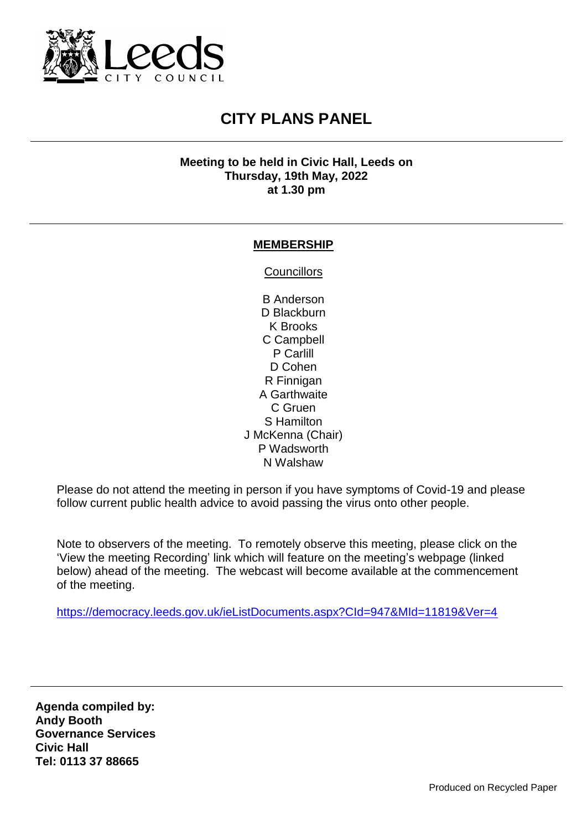

## **CITY PLANS PANEL**

## **Meeting to be held in Civic Hall, Leeds on Thursday, 19th May, 2022 at 1.30 pm**

## **MEMBERSHIP**

**Councillors** 

B Anderson D Blackburn K Brooks C Campbell P Carlill D Cohen R Finnigan A Garthwaite C Gruen S Hamilton J McKenna (Chair) P Wadsworth N Walshaw

Please do not attend the meeting in person if you have symptoms of Covid-19 and please follow current public health advice to avoid passing the virus onto other people.

Note to observers of the meeting. To remotely observe this meeting, please click on the 'View the meeting Recording' link which will feature on the meeting's webpage (linked below) ahead of the meeting. The webcast will become available at the commencement of the meeting.

<https://democracy.leeds.gov.uk/ieListDocuments.aspx?CId=947&MId=11819&Ver=4>

**Agenda compiled by: Andy Booth Governance Services Civic Hall Tel: 0113 37 88665**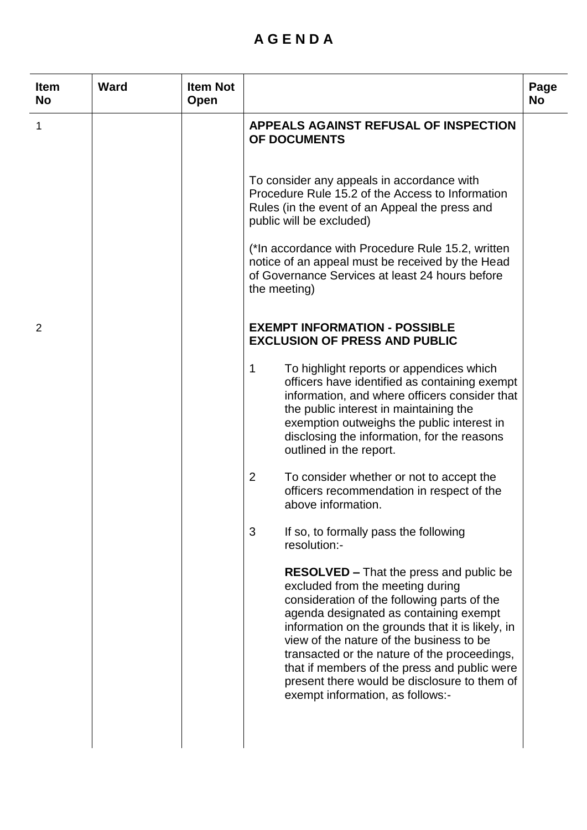## **A G E N D A**

| <b>Item</b><br><b>No</b> | <b>Ward</b> | <b>Item Not</b><br>Open |                                                                                                                                                                                                                                                                                                                                                                                                                                                                 | Page<br><b>No</b> |
|--------------------------|-------------|-------------------------|-----------------------------------------------------------------------------------------------------------------------------------------------------------------------------------------------------------------------------------------------------------------------------------------------------------------------------------------------------------------------------------------------------------------------------------------------------------------|-------------------|
| 1                        |             |                         | <b>APPEALS AGAINST REFUSAL OF INSPECTION</b><br>OF DOCUMENTS                                                                                                                                                                                                                                                                                                                                                                                                    |                   |
|                          |             |                         | To consider any appeals in accordance with<br>Procedure Rule 15.2 of the Access to Information<br>Rules (in the event of an Appeal the press and<br>public will be excluded)                                                                                                                                                                                                                                                                                    |                   |
|                          |             |                         | (*In accordance with Procedure Rule 15.2, written<br>notice of an appeal must be received by the Head<br>of Governance Services at least 24 hours before<br>the meeting)                                                                                                                                                                                                                                                                                        |                   |
| 2                        |             |                         | <b>EXEMPT INFORMATION - POSSIBLE</b><br><b>EXCLUSION OF PRESS AND PUBLIC</b>                                                                                                                                                                                                                                                                                                                                                                                    |                   |
|                          |             |                         | 1<br>To highlight reports or appendices which<br>officers have identified as containing exempt<br>information, and where officers consider that<br>the public interest in maintaining the<br>exemption outweighs the public interest in<br>disclosing the information, for the reasons<br>outlined in the report.                                                                                                                                               |                   |
|                          |             |                         | $\overline{2}$<br>To consider whether or not to accept the<br>officers recommendation in respect of the<br>above information.                                                                                                                                                                                                                                                                                                                                   |                   |
|                          |             |                         | 3<br>If so, to formally pass the following<br>resolution:-                                                                                                                                                                                                                                                                                                                                                                                                      |                   |
|                          |             |                         | <b>RESOLVED – That the press and public be</b><br>excluded from the meeting during<br>consideration of the following parts of the<br>agenda designated as containing exempt<br>information on the grounds that it is likely, in<br>view of the nature of the business to be<br>transacted or the nature of the proceedings,<br>that if members of the press and public were<br>present there would be disclosure to them of<br>exempt information, as follows:- |                   |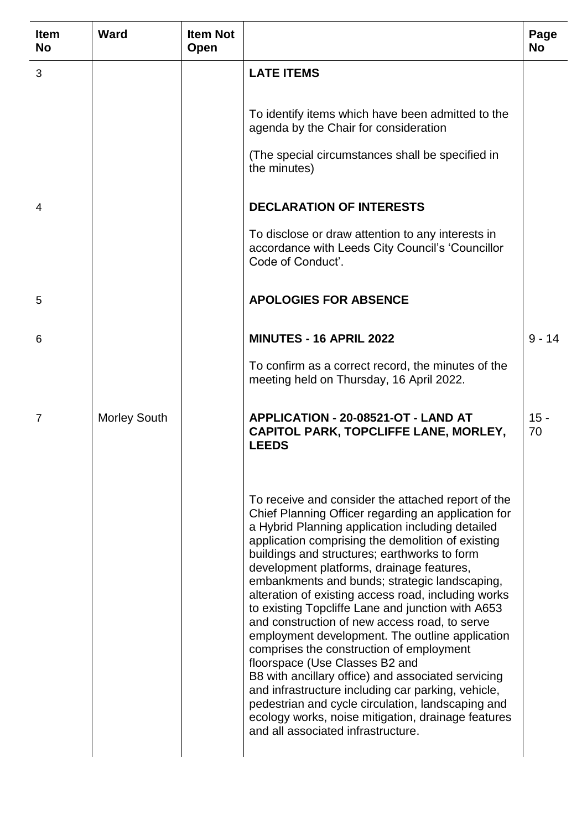| Item<br><b>No</b> | <b>Ward</b>         | <b>Item Not</b><br>Open |                                                                                                                                                                                                                                                                                                                                                                                                                                                                                                                                                                                                                                                                                                                                                                                                                                                                                                                             | Page<br><b>No</b> |
|-------------------|---------------------|-------------------------|-----------------------------------------------------------------------------------------------------------------------------------------------------------------------------------------------------------------------------------------------------------------------------------------------------------------------------------------------------------------------------------------------------------------------------------------------------------------------------------------------------------------------------------------------------------------------------------------------------------------------------------------------------------------------------------------------------------------------------------------------------------------------------------------------------------------------------------------------------------------------------------------------------------------------------|-------------------|
| 3                 |                     |                         | <b>LATE ITEMS</b>                                                                                                                                                                                                                                                                                                                                                                                                                                                                                                                                                                                                                                                                                                                                                                                                                                                                                                           |                   |
|                   |                     |                         | To identify items which have been admitted to the<br>agenda by the Chair for consideration                                                                                                                                                                                                                                                                                                                                                                                                                                                                                                                                                                                                                                                                                                                                                                                                                                  |                   |
|                   |                     |                         | (The special circumstances shall be specified in<br>the minutes)                                                                                                                                                                                                                                                                                                                                                                                                                                                                                                                                                                                                                                                                                                                                                                                                                                                            |                   |
| 4                 |                     |                         | <b>DECLARATION OF INTERESTS</b>                                                                                                                                                                                                                                                                                                                                                                                                                                                                                                                                                                                                                                                                                                                                                                                                                                                                                             |                   |
|                   |                     |                         | To disclose or draw attention to any interests in<br>accordance with Leeds City Council's 'Councillor<br>Code of Conduct'.                                                                                                                                                                                                                                                                                                                                                                                                                                                                                                                                                                                                                                                                                                                                                                                                  |                   |
| 5                 |                     |                         | <b>APOLOGIES FOR ABSENCE</b>                                                                                                                                                                                                                                                                                                                                                                                                                                                                                                                                                                                                                                                                                                                                                                                                                                                                                                |                   |
| 6                 |                     |                         | <b>MINUTES - 16 APRIL 2022</b>                                                                                                                                                                                                                                                                                                                                                                                                                                                                                                                                                                                                                                                                                                                                                                                                                                                                                              | $9 - 14$          |
|                   |                     |                         | To confirm as a correct record, the minutes of the<br>meeting held on Thursday, 16 April 2022.                                                                                                                                                                                                                                                                                                                                                                                                                                                                                                                                                                                                                                                                                                                                                                                                                              |                   |
| $\overline{7}$    | <b>Morley South</b> |                         | APPLICATION - 20-08521-OT - LAND AT<br>CAPITOL PARK, TOPCLIFFE LANE, MORLEY,<br><b>LEEDS</b>                                                                                                                                                                                                                                                                                                                                                                                                                                                                                                                                                                                                                                                                                                                                                                                                                                | $15 -$<br>70      |
|                   |                     |                         | To receive and consider the attached report of the<br>Chief Planning Officer regarding an application for<br>a Hybrid Planning application including detailed<br>application comprising the demolition of existing<br>buildings and structures; earthworks to form<br>development platforms, drainage features,<br>embankments and bunds; strategic landscaping,<br>alteration of existing access road, including works<br>to existing Topcliffe Lane and junction with A653<br>and construction of new access road, to serve<br>employment development. The outline application<br>comprises the construction of employment<br>floorspace (Use Classes B2 and<br>B8 with ancillary office) and associated servicing<br>and infrastructure including car parking, vehicle,<br>pedestrian and cycle circulation, landscaping and<br>ecology works, noise mitigation, drainage features<br>and all associated infrastructure. |                   |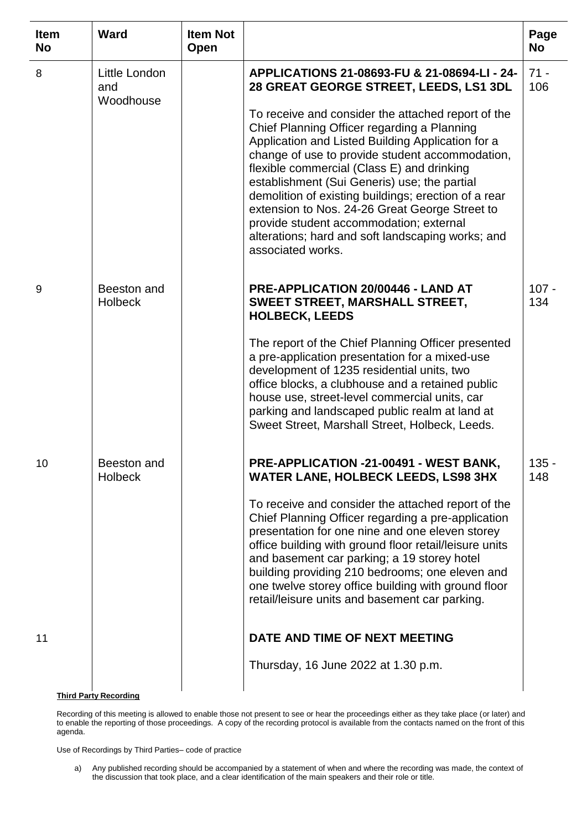| <b>Item</b><br><b>No</b> | <b>Ward</b>                       | <b>Item Not</b><br>Open |                                                                                                                                                                                                                                                                                                                                                                                                                                   | Page<br><b>No</b> |
|--------------------------|-----------------------------------|-------------------------|-----------------------------------------------------------------------------------------------------------------------------------------------------------------------------------------------------------------------------------------------------------------------------------------------------------------------------------------------------------------------------------------------------------------------------------|-------------------|
| 8                        | Little London<br>and<br>Woodhouse |                         | APPLICATIONS 21-08693-FU & 21-08694-LI - 24-<br>28 GREAT GEORGE STREET, LEEDS, LS1 3DL<br>To receive and consider the attached report of the<br>Chief Planning Officer regarding a Planning                                                                                                                                                                                                                                       | $71 -$<br>106     |
|                          |                                   |                         | Application and Listed Building Application for a<br>change of use to provide student accommodation,<br>flexible commercial (Class E) and drinking<br>establishment (Sui Generis) use; the partial<br>demolition of existing buildings; erection of a rear<br>extension to Nos. 24-26 Great George Street to<br>provide student accommodation; external<br>alterations; hard and soft landscaping works; and<br>associated works. |                   |
| 9                        | Beeston and<br><b>Holbeck</b>     |                         | PRE-APPLICATION 20/00446 - LAND AT<br><b>SWEET STREET, MARSHALL STREET,</b><br><b>HOLBECK, LEEDS</b>                                                                                                                                                                                                                                                                                                                              | $107 -$<br>134    |
|                          |                                   |                         | The report of the Chief Planning Officer presented<br>a pre-application presentation for a mixed-use<br>development of 1235 residential units, two<br>office blocks, a clubhouse and a retained public<br>house use, street-level commercial units, car<br>parking and landscaped public realm at land at<br>Sweet Street, Marshall Street, Holbeck, Leeds.                                                                       |                   |
| 10                       | Beeston and<br><b>Holbeck</b>     |                         | PRE-APPLICATION -21-00491 - WEST BANK,<br><b>WATER LANE, HOLBECK LEEDS, LS98 3HX</b>                                                                                                                                                                                                                                                                                                                                              | $135 -$<br>148    |
|                          |                                   |                         | To receive and consider the attached report of the<br>Chief Planning Officer regarding a pre-application<br>presentation for one nine and one eleven storey<br>office building with ground floor retail/leisure units<br>and basement car parking; a 19 storey hotel<br>building providing 210 bedrooms; one eleven and<br>one twelve storey office building with ground floor<br>retail/leisure units and basement car parking.  |                   |
| 11                       |                                   |                         | DATE AND TIME OF NEXT MEETING                                                                                                                                                                                                                                                                                                                                                                                                     |                   |
|                          | <b>Third Party Recording</b>      |                         | Thursday, 16 June 2022 at 1.30 p.m.                                                                                                                                                                                                                                                                                                                                                                                               |                   |

Recording of this meeting is allowed to enable those not present to see or hear the proceedings either as they take place (or later) and to enable the reporting of those proceedings. A copy of the recording protocol is available from the contacts named on the front of this agenda.

Use of Recordings by Third Parties– code of practice

j.

a) Any published recording should be accompanied by a statement of when and where the recording was made, the context of the discussion that took place, and a clear identification of the main speakers and their role or title.